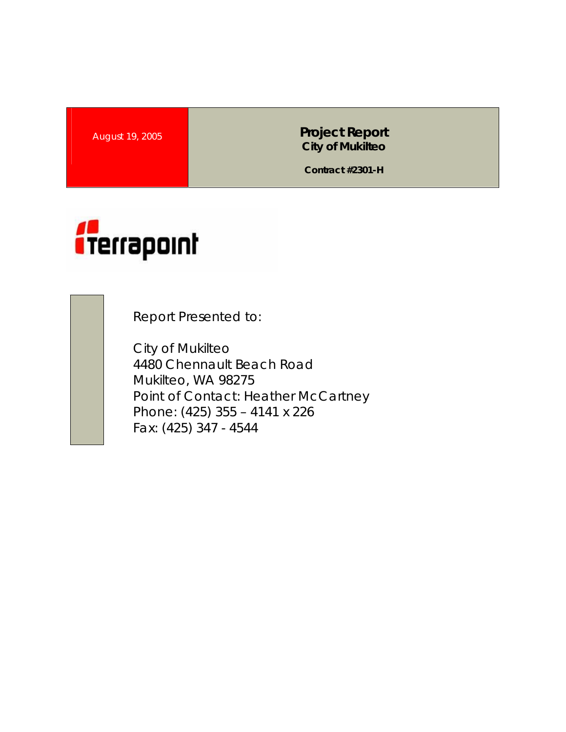**August 19, 2005 <b>Project Report Project Report City of Mukilteo** 

**Contract #2301-H** 



Report Presented to:

City of Mukilteo 4480 Chennault Beach Road Mukilteo, WA 98275 Point of Contact: Heather McCartney Phone: (425) 355 – 4141 x 226 Fax: (425) 347 - 4544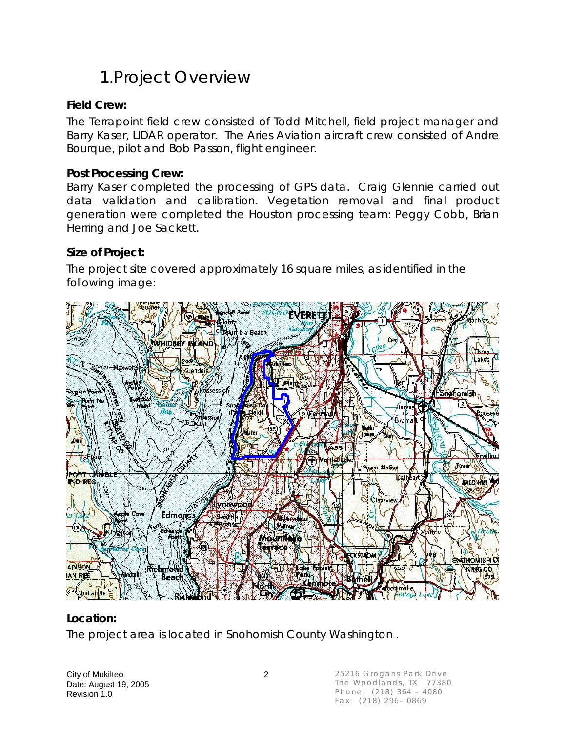## 1.Project Overview

### **Field Crew:**

The Terrapoint field crew consisted of Todd Mitchell, field project manager and Barry Kaser, LIDAR operator. The Aries Aviation aircraft crew consisted of Andre Bourque, pilot and Bob Passon, flight engineer.

### **Post Processing Crew:**

Barry Kaser completed the processing of GPS data. Craig Glennie carried out data validation and calibration. Vegetation removal and final product generation were completed the Houston processing team: Peggy Cobb, Brian Herring and Joe Sackett.

### **Size of Project:**

The project site covered approximately 16 square miles, as identified in the following image:



#### **Location:**

The project area is located in Snohomish County Washington .

City of Mukilteo 2 Date: August 19, 2005 Revision 1.0

25216 Grogans Park Drive The Woodlands, TX 77380 Phone: (218) 364 – 4080 Fax: (218) 296– 0869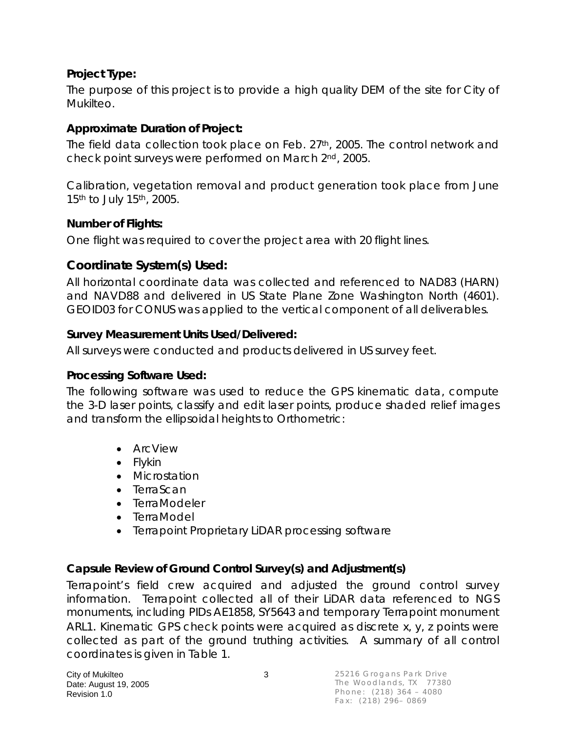### **Project Type:**

The purpose of this project is to provide a high quality DEM of the site for City of Mukilteo.

### **Approximate Duration of Project:**

The field data collection took place on Feb. 27<sup>th</sup>, 2005. The control network and check point surveys were performed on March 2nd, 2005.

Calibration, vegetation removal and product generation took place from June 15th to July 15th, 2005.

#### **Number of Flights:**

One flight was required to cover the project area with 20 flight lines.

### **Coordinate System(s) Used:**

All horizontal coordinate data was collected and referenced to NAD83 (HARN) and NAVD88 and delivered in US State Plane Zone Washington North (4601). GEOID03 for CONUS was applied to the vertical component of all deliverables.

### **Survey Measurement Units Used/Delivered:**

All surveys were conducted and products delivered in US survey feet.

#### **Processing Software Used:**

The following software was used to reduce the GPS kinematic data, compute the 3-D laser points, classify and edit laser points, produce shaded relief images and transform the ellipsoidal heights to Orthometric:

- ArcView
- Flykin
- Microstation
- TerraScan
- TerraModeler
- TerraModel
- Terrapoint Proprietary LiDAR processing software

### **Capsule Review of Ground Control Survey(s) and Adjustment(s)**

Terrapoint's field crew acquired and adjusted the ground control survey information. Terrapoint collected all of their LiDAR data referenced to NGS monuments, including PIDs AE1858, SY5643 and temporary Terrapoint monument ARL1. Kinematic GPS check points were acquired as discrete x, y, z points were collected as part of the ground truthing activities. A summary of all control coordinates is given in Table 1.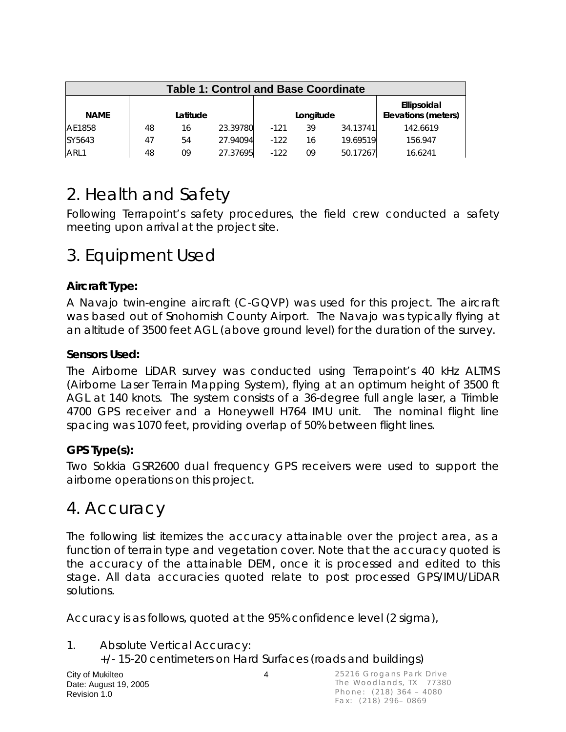| <b>Table 1: Control and Base Coordinate</b> |    |          |          |        |           |          |                                    |  |
|---------------------------------------------|----|----------|----------|--------|-----------|----------|------------------------------------|--|
| <b>NAME</b>                                 |    | Latitude |          |        | Longitude |          | Ellipsoidal<br>Elevations (meters) |  |
| AE1858                                      | 48 | 16       | 23.39780 | $-121$ | 39        | 34.13741 | 142.6619                           |  |
| SY5643                                      | 47 | 54       | 27.94094 | $-122$ | 16        | 19.69519 | 156.947                            |  |
| ARL1                                        | 48 | 09       | 27.37695 | $-122$ | 09        | 50.17267 | 16.6241                            |  |

# 2. Health and Safety

Following Terrapoint's safety procedures, the field crew conducted a safety meeting upon arrival at the project site.

## 3. Equipment Used

### **Aircraft Type:**

A Navajo twin-engine aircraft (C-GQVP) was used for this project. The aircraft was based out of Snohomish County Airport. The Navajo was typically flying at an altitude of 3500 feet AGL (above ground level) for the duration of the survey.

### **Sensors Used:**

The Airborne LiDAR survey was conducted using Terrapoint's 40 kHz ALTMS (Airborne Laser Terrain Mapping System), flying at an optimum height of 3500 ft AGL at 140 knots. The system consists of a 36-degree full angle laser, a Trimble 4700 GPS receiver and a Honeywell H764 IMU unit. The nominal flight line spacing was 1070 feet, providing overlap of 50% between flight lines.

### **GPS Type(s):**

Two Sokkia GSR2600 dual frequency GPS receivers were used to support the airborne operations on this project.

### 4. Accuracy

The following list itemizes the accuracy attainable over the project area, as a function of terrain type and vegetation cover. Note that the accuracy quoted is the accuracy of the attainable DEM, once it is processed and edited to this stage. All data accuracies quoted relate to post processed GPS/IMU/LiDAR solutions.

Accuracy is as follows, quoted at the 95% confidence level (2 sigma),

1. Absolute Vertical Accuracy:

+/- 15-20 centimeters on Hard Surfaces (roads and buildings)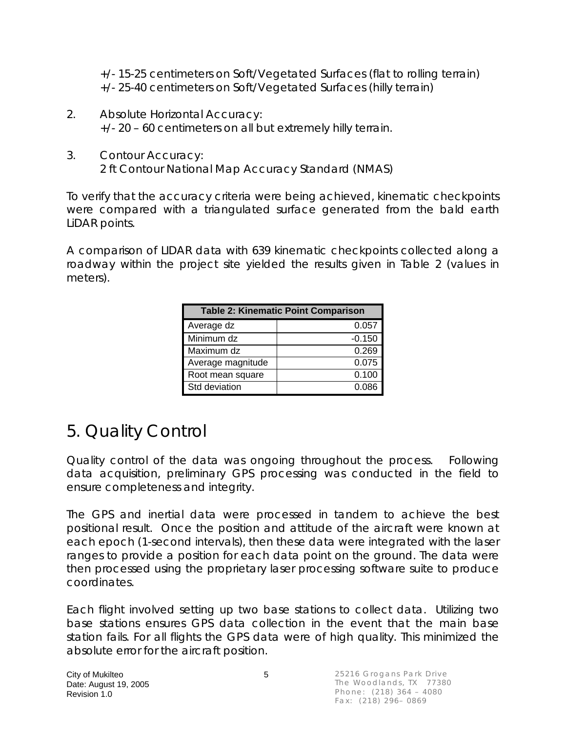+/- 15-25 centimeters on Soft/Vegetated Surfaces (flat to rolling terrain) +/- 25-40 centimeters on Soft/Vegetated Surfaces (hilly terrain)

- 2. Absolute Horizontal Accuracy: +/- 20 – 60 centimeters on all but extremely hilly terrain.
- 3. Contour Accuracy: 2 ft Contour National Map Accuracy Standard (NMAS)

To verify that the accuracy criteria were being achieved, kinematic checkpoints were compared with a triangulated surface generated from the bald earth LiDAR points.

A comparison of LIDAR data with 639 kinematic checkpoints collected along a roadway within the project site yielded the results given in Table 2 (values in meters).

| <b>Table 2: Kinematic Point Comparison</b> |          |  |  |  |  |  |
|--------------------------------------------|----------|--|--|--|--|--|
| Average dz                                 | 0.057    |  |  |  |  |  |
| Minimum dz                                 | $-0.150$ |  |  |  |  |  |
| Maximum dz                                 | 0.269    |  |  |  |  |  |
| Average magnitude                          | 0.075    |  |  |  |  |  |
| Root mean square                           | 0.100    |  |  |  |  |  |
| Std deviation                              | 0.086    |  |  |  |  |  |

# 5. Quality Control

Quality control of the data was ongoing throughout the process. Following data acquisition, preliminary GPS processing was conducted in the field to ensure completeness and integrity.

The GPS and inertial data were processed in tandem to achieve the best positional result. Once the position and attitude of the aircraft were known at each epoch (1-second intervals), then these data were integrated with the laser ranges to provide a position for each data point on the ground. The data were then processed using the proprietary laser processing software suite to produce coordinates.

Each flight involved setting up two base stations to collect data. Utilizing two base stations ensures GPS data collection in the event that the main base station fails. For all flights the GPS data were of high quality. This minimized the absolute error for the aircraft position.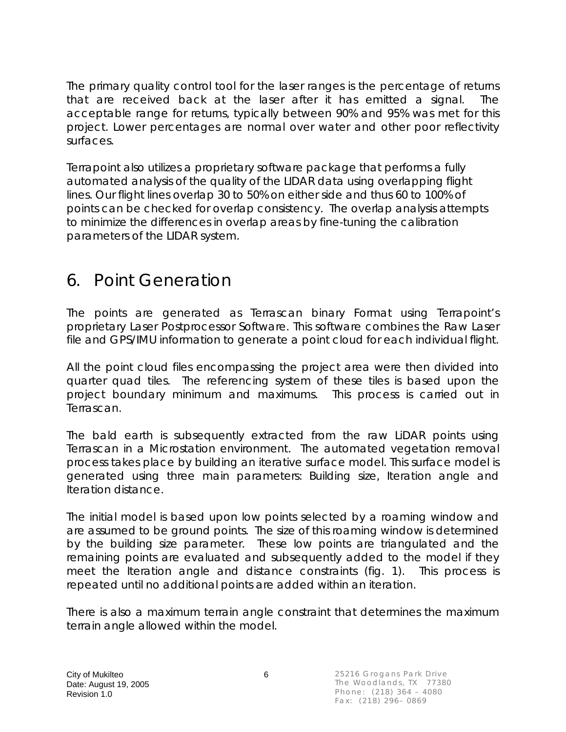The primary quality control tool for the laser ranges is the percentage of returns that are received back at the laser after it has emitted a signal. The acceptable range for returns, typically between 90% and 95% was met for this project. Lower percentages are normal over water and other poor reflectivity surfaces.

Terrapoint also utilizes a proprietary software package that performs a fully automated analysis of the quality of the LIDAR data using overlapping flight lines. Our flight lines overlap 30 to 50% on either side and thus 60 to 100% of points can be checked for overlap consistency. The overlap analysis attempts to minimize the differences in overlap areas by fine-tuning the calibration parameters of the LIDAR system.

## 6. Point Generation

The points are generated as Terrascan binary Format using Terrapoint's proprietary Laser Postprocessor Software. This software combines the Raw Laser file and GPS/IMU information to generate a point cloud for each individual flight.

All the point cloud files encompassing the project area were then divided into quarter quad tiles. The referencing system of these tiles is based upon the project boundary minimum and maximums. This process is carried out in Terrascan.

The bald earth is subsequently extracted from the raw LiDAR points using Terrascan in a Microstation environment. The automated vegetation removal process takes place by building an iterative surface model. This surface model is generated using three main parameters: Building size, Iteration angle and Iteration distance.

The initial model is based upon low points selected by a roaming window and are assumed to be ground points. The size of this roaming window is determined by the building size parameter. These low points are triangulated and the remaining points are evaluated and subsequently added to the model if they meet the Iteration angle and distance constraints (fig. 1). This process is repeated until no additional points are added within an iteration.

There is also a maximum terrain angle constraint that determines the maximum terrain angle allowed within the model.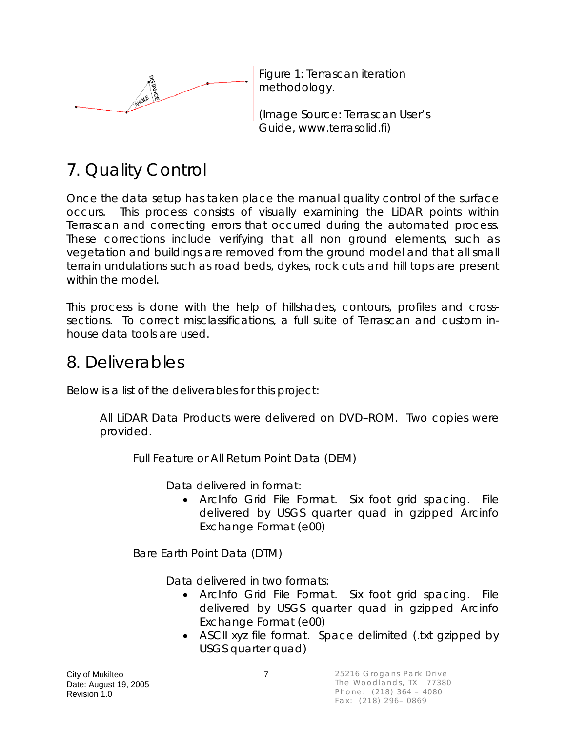

Figure 1: Terrascan iteration methodology.

(Image Source: Terrascan User's Guide, www.terrasolid.fi)

# 7. Quality Control

Once the data setup has taken place the manual quality control of the surface occurs. This process consists of visually examining the LiDAR points within Terrascan and correcting errors that occurred during the automated process. These corrections include verifying that all non ground elements, such as vegetation and buildings are removed from the ground model and that all small terrain undulations such as road beds, dykes, rock cuts and hill tops are present within the model.

This process is done with the help of hillshades, contours, profiles and crosssections. To correct misclassifications, a full suite of Terrascan and custom inhouse data tools are used.

### 8. Deliverables

Below is a list of the deliverables for this project:

All LiDAR Data Products were delivered on DVD–ROM. Two copies were provided.

Full Feature or All Return Point Data (DEM)

Data delivered in format:

• ArcInfo Grid File Format. Six foot grid spacing. File delivered by USGS quarter quad in gzipped Arcinfo Exchange Format (e00)

Bare Earth Point Data (DTM)

Data delivered in two formats:

- ArcInfo Grid File Format. Six foot grid spacing. File delivered by USGS quarter quad in gzipped Arcinfo Exchange Format (e00)
- ASCII xyz file format. Space delimited (txt gzipped by USGS quarter quad)